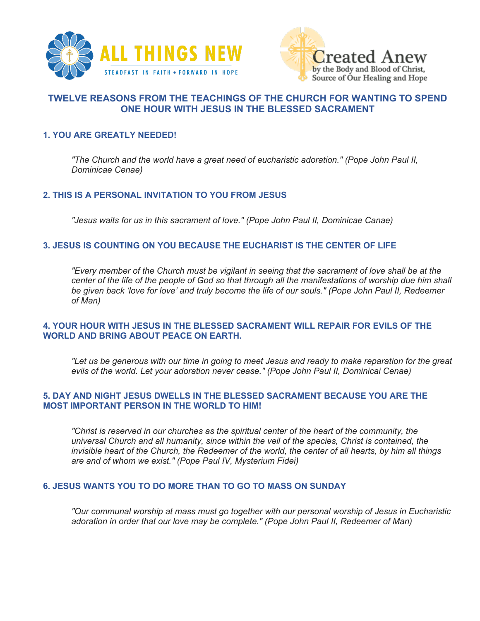



# **TWELVE REASONS FROM THE TEACHINGS OF THE CHURCH FOR WANTING TO SPEND ONE HOUR WITH JESUS IN THE BLESSED SACRAMENT**

## **1. YOU ARE GREATLY NEEDED!**

*"The Church and the world have a great need of eucharistic adoration." (Pope John Paul II, Dominicae Cenae)*

## **2. THIS IS A PERSONAL INVITATION TO YOU FROM JESUS**

*"Jesus waits for us in this sacrament of love." (Pope John Paul II, Dominicae Canae)*

## **3. JESUS IS COUNTING ON YOU BECAUSE THE EUCHARIST IS THE CENTER OF LIFE**

*"Every member of the Church must be vigilant in seeing that the sacrament of love shall be at the center of the life of the people of God so that through all the manifestations of worship due him shall be given back 'love for love' and truly become the life of our souls." (Pope John Paul II, Redeemer of Man)*

## **4. YOUR HOUR WITH JESUS IN THE BLESSED SACRAMENT WILL REPAIR FOR EVILS OF THE WORLD AND BRING ABOUT PEACE ON EARTH.**

*"Let us be generous with our time in going to meet Jesus and ready to make reparation for the great evils of the world. Let your adoration never cease." (Pope John Paul II, Dominicai Cenae)*

## **5. DAY AND NIGHT JESUS DWELLS IN THE BLESSED SACRAMENT BECAUSE YOU ARE THE MOST IMPORTANT PERSON IN THE WORLD TO HIM!**

*"Christ is reserved in our churches as the spiritual center of the heart of the community, the universal Church and all humanity, since within the veil of the species, Christ is contained, the invisible heart of the Church, the Redeemer of the world, the center of all hearts, by him all things are and of whom we exist." (Pope Paul IV, Mysterium Fidei)*

## **6. JESUS WANTS YOU TO DO MORE THAN TO GO TO MASS ON SUNDAY**

*"Our communal worship at mass must go together with our personal worship of Jesus in Eucharistic adoration in order that our love may be complete." (Pope John Paul II, Redeemer of Man)*